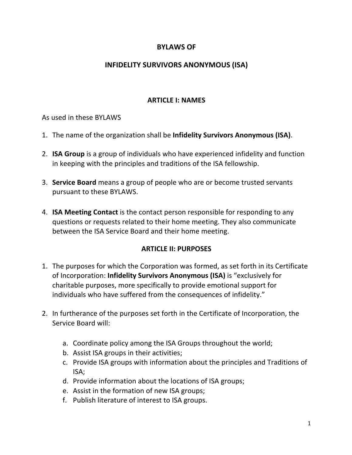# **BYLAWS OF**

# **INFIDELITY SURVIVORS ANONYMOUS (ISA)**

#### **ARTICLE I: NAMES**

As used in these BYLAWS

- 1. The name of the organization shall be **Infidelity Survivors Anonymous (ISA)**.
- 2. **ISA Group** is a group of individuals who have experienced infidelity and function in keeping with the principles and traditions of the ISA fellowship.
- 3. **Service Board** means a group of people who are or become trusted servants pursuant to these BYLAWS.
- 4. **ISA Meeting Contact** is the contact person responsible for responding to any questions or requests related to their home meeting. They also communicate between the ISA Service Board and their home meeting.

### **ARTICLE II: PURPOSES**

- 1. The purposes for which the Corporation was formed, as set forth in its Certificate of Incorporation: **Infidelity Survivors Anonymous (ISA)** is "exclusively for charitable purposes, more specifically to provide emotional support for individuals who have suffered from the consequences of infidelity."
- 2. In furtherance of the purposes set forth in the Certificate of Incorporation, the Service Board will:
	- a. Coordinate policy among the ISA Groups throughout the world;
	- b. Assist ISA groups in their activities;
	- c. Provide ISA groups with information about the principles and Traditions of ISA;
	- d. Provide information about the locations of ISA groups;
	- e. Assist in the formation of new ISA groups;
	- f. Publish literature of interest to ISA groups.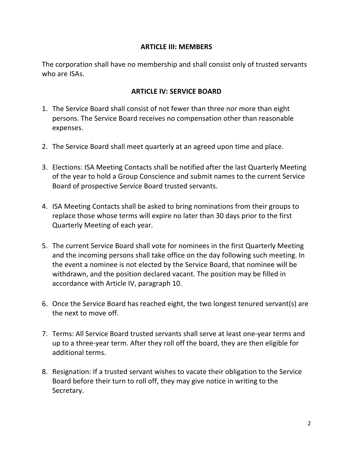### **ARTICLE III: MEMBERS**

The corporation shall have no membership and shall consist only of trusted servants who are ISAs.

## **ARTICLE IV: SERVICE BOARD**

- 1. The Service Board shall consist of not fewer than three nor more than eight persons. The Service Board receives no compensation other than reasonable expenses.
- 2. The Service Board shall meet quarterly at an agreed upon time and place.
- 3. Elections: ISA Meeting Contacts shall be notified after the last Quarterly Meeting of the year to hold a Group Conscience and submit names to the current Service Board of prospective Service Board trusted servants.
- 4. ISA Meeting Contacts shall be asked to bring nominations from their groups to replace those whose terms will expire no later than 30 days prior to the first Quarterly Meeting of each year.
- 5. The current Service Board shall vote for nominees in the first Quarterly Meeting and the incoming persons shall take office on the day following such meeting. In the event a nominee is not elected by the Service Board, that nominee will be withdrawn, and the position declared vacant. The position may be filled in accordance with Article IV, paragraph 10.
- 6. Once the Service Board has reached eight, the two longest tenured servant(s) are the next to move off.
- 7. Terms: All Service Board trusted servants shall serve at least one-year terms and up to a three-year term. After they roll off the board, they are then eligible for additional terms.
- 8. Resignation: If a trusted servant wishes to vacate their obligation to the Service Board before their turn to roll off, they may give notice in writing to the Secretary.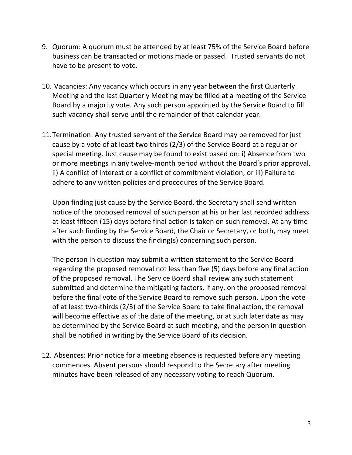- 9. Quorum: A quorum must be attended by at least 75% of the Service Board before business can be transacted or motions made or passed. Trusted servants do not have to be present to vote.
- 10. Vacancies: Any vacancy which occurs in any year between the first Quarterly Meeting and the last Quarterly Meeting may be filled at a meeting of the Service Board by a majority vote. Any such person appointed by the Service Board to fill such vacancy shall serve until the remainder of that calendar year.
- 11.Termination: Any trusted servant of the Service Board may be removed for just cause by a vote of at least two thirds (2/3) of the Service Board at a regular or special meeting. Just cause may be found to exist based on: i) Absence from two or more meetings in any twelve-month period without the Board's prior approval. ii) A conflict of interest or a conflict of commitment violation; or iii) Failure to adhere to any written policies and procedures of the Service Board.

Upon finding just cause by the Service Board, the Secretary shall send written notice of the proposed removal of such person at his or her last recorded address at least fifteen (15) days before final action is taken on such removal. At any time after such finding by the Service Board, the Chair or Secretary, or both, may meet with the person to discuss the finding(s) concerning such person.

The person in question may submit a written statement to the Service Board regarding the proposed removal not less than five (5) days before any final action of the proposed removal. The Service Board shall review any such statement submitted and determine the mitigating factors, if any, on the proposed removal before the final vote of the Service Board to remove such person. Upon the vote of at least two-thirds (2/3) of the Service Board to take final action, the removal will become effective as of the date of the meeting, or at such later date as may be determined by the Service Board at such meeting, and the person in question shall be notified in writing by the Service Board of its decision.

12. Absences: Prior notice for a meeting absence is requested before any meeting commences. Absent persons should respond to the Secretary after meeting minutes have been released of any necessary voting to reach Quorum.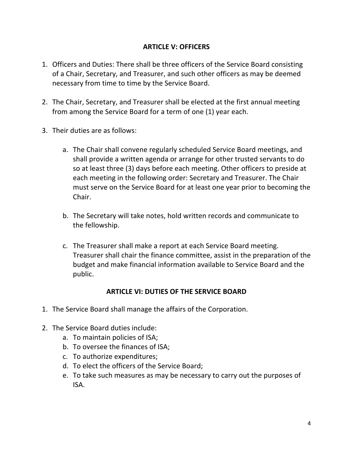## **ARTICLE V: OFFICERS**

- 1. Officers and Duties: There shall be three officers of the Service Board consisting of a Chair, Secretary, and Treasurer, and such other officers as may be deemed necessary from time to time by the Service Board.
- 2. The Chair, Secretary, and Treasurer shall be elected at the first annual meeting from among the Service Board for a term of one (1) year each.
- 3. Their duties are as follows:
	- a. The Chair shall convene regularly scheduled Service Board meetings, and shall provide a written agenda or arrange for other trusted servants to do so at least three (3) days before each meeting. Other officers to preside at each meeting in the following order: Secretary and Treasurer. The Chair must serve on the Service Board for at least one year prior to becoming the Chair.
	- b. The Secretary will take notes, hold written records and communicate to the fellowship.
	- c. The Treasurer shall make a report at each Service Board meeting. Treasurer shall chair the finance committee, assist in the preparation of the budget and make financial information available to Service Board and the public.

### **ARTICLE VI: DUTIES OF THE SERVICE BOARD**

- 1. The Service Board shall manage the affairs of the Corporation.
- 2. The Service Board duties include:
	- a. To maintain policies of ISA;
	- b. To oversee the finances of ISA;
	- c. To authorize expenditures;
	- d. To elect the officers of the Service Board;
	- e. To take such measures as may be necessary to carry out the purposes of ISA.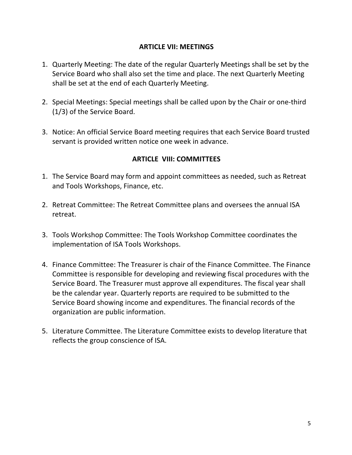### **ARTICLE VII: MEETINGS**

- 1. Quarterly Meeting: The date of the regular Quarterly Meetings shall be set by the Service Board who shall also set the time and place. The next Quarterly Meeting shall be set at the end of each Quarterly Meeting.
- 2. Special Meetings: Special meetings shall be called upon by the Chair or one-third (1/3) of the Service Board.
- 3. Notice: An official Service Board meeting requires that each Service Board trusted servant is provided written notice one week in advance.

# **ARTICLE VIII: COMMITTEES**

- 1. The Service Board may form and appoint committees as needed, such as Retreat and Tools Workshops, Finance, etc.
- 2. Retreat Committee: The Retreat Committee plans and oversees the annual ISA retreat.
- 3. Tools Workshop Committee: The Tools Workshop Committee coordinates the implementation of ISA Tools Workshops.
- 4. Finance Committee: The Treasurer is chair of the Finance Committee. The Finance Committee is responsible for developing and reviewing fiscal procedures with the Service Board. The Treasurer must approve all expenditures. The fiscal year shall be the calendar year. Quarterly reports are required to be submitted to the Service Board showing income and expenditures. The financial records of the organization are public information.
- 5. Literature Committee. The Literature Committee exists to develop literature that reflects the group conscience of ISA.